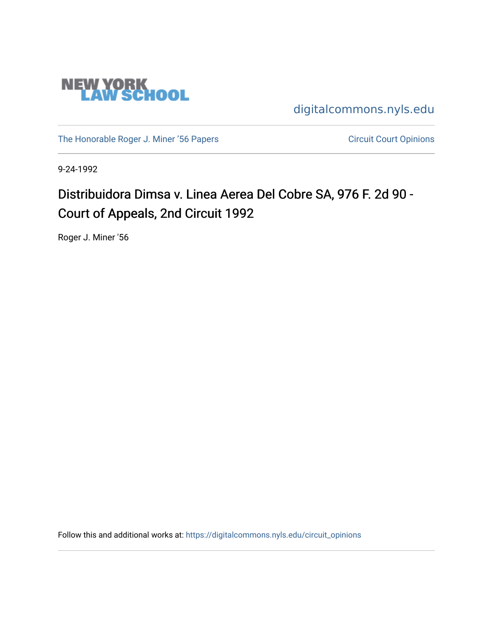

[digitalcommons.nyls.edu](https://digitalcommons.nyls.edu/) 

[The Honorable Roger J. Miner '56 Papers](https://digitalcommons.nyls.edu/miner_papers) Circuit Court Opinions

9-24-1992

# Distribuidora Dimsa v. Linea Aerea Del Cobre SA, 976 F. 2d 90 -Court of Appeals, 2nd Circuit 1992

Roger J. Miner '56

Follow this and additional works at: [https://digitalcommons.nyls.edu/circuit\\_opinions](https://digitalcommons.nyls.edu/circuit_opinions?utm_source=digitalcommons.nyls.edu%2Fcircuit_opinions%2F362&utm_medium=PDF&utm_campaign=PDFCoverPages)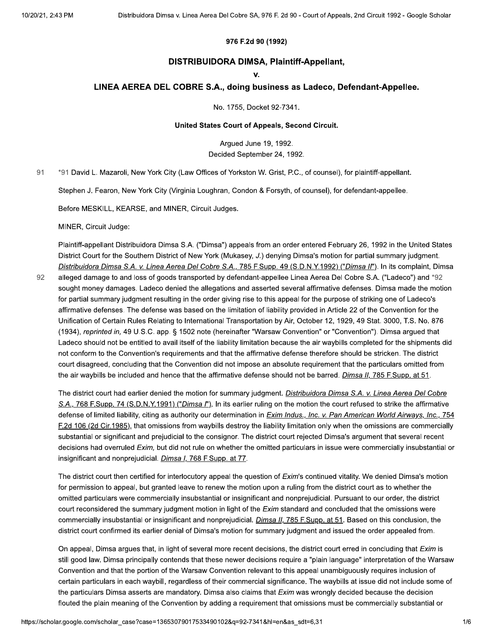### 976 F.2d 90 (1992)

### DISTRIBUIDORA DIMSA, Plaintiff-Appellant,

v.

### LINEA AEREA DEL COBRE S.A., doing business as Ladeco, Defendant-Appellee.

No. 1755, Docket 92-7341.

### United States Court of Appeals, Second Circuit.

Arqued June 19, 1992. Decided September 24, 1992.

91 \*91 David L. Mazaroli, New York City (Law Offices of Yorkston W. Grist, P.C., of counsel), for plaintiff-appellant.

Stephen J. Fearon, New York City (Virginia Loughran, Condon & Forsyth, of counsel), for defendant-appellee.

Before MESKILL, KEARSE, and MINER, Circuit Judges.

MINER, Circuit Judge:

Plaintiff-appellant Distribuidora Dimsa S.A. ("Dimsa") appeals from an order entered February 26, 1992 in the United States District Court for the Southern District of New York (Mukasey, J.) denying Dimsa's motion for partial summary judgment. Distribuidora Dimsa S.A. v. Linea Aerea Del Cobre S.A., 785 F.Supp. 49 (S.D.N.Y.1992) ("Dimsa II"). In its complaint, Dimsa

92 alleged damage to and loss of goods transported by defendant-appellee Linea Aerea Del Cobre S.A. ("Ladeco") and \*92 sought money damages. Ladeco denied the allegations and asserted several affirmative defenses. Dimsa made the motion for partial summary judgment resulting in the order giving rise to this appeal for the purpose of striking one of Ladeco's affirmative defenses. The defense was based on the limitation of liability provided in Article 22 of the Convention for the Unification of Certain Rules Relating to International Transportation by Air, October 12, 1929, 49 Stat. 3000, T.S. No. 876 (1934), reprinted in, 49 U.S.C. app. § 1502 note (hereinafter "Warsaw Convention" or "Convention"). Dimsa argued that Ladeco should not be entitled to avail itself of the liability limitation because the air waybills completed for the shipments did not conform to the Convention's requirements and that the affirmative defense therefore should be stricken. The district court disagreed, concluding that the Convention did not impose an absolute requirement that the particulars omitted from the air waybills be included and hence that the affirmative defense should not be barred. Dimsa II, 785 F.Supp. at 51.

The district court had earlier denied the motion for summary judgment. Distribuidora Dimsa S.A. v. Linea Aerea Del Cobre S.A., 768 F.Supp. 74 (S.D.N.Y.1991) ("Dimsa I"). In its earlier ruling on the motion the court refused to strike the affirmative defense of limited liability, citing as authority our determination in *Exim Indus., Inc. v. Pan American World Airways, Inc.*, 754 F.2d 106 (2d Cir.1985), that omissions from waybills destroy the liability limitation only when the omissions are commercially substantial or significant and prejudicial to the consignor. The district court rejected Dimsa's argument that several recent decisions had overruled Exim, but did not rule on whether the omitted particulars in issue were commercially insubstantial or insignificant and nonprejudicial. *Dimsa I, 768 F.Supp. at 77.* 

The district court then certified for interlocutory appeal the question of Exim's continued vitality. We denied Dimsa's motion for permission to appeal, but granted leave to renew the motion upon a ruling from the district court as to whether the omitted particulars were commercially insubstantial or insignificant and nonprejudicial. Pursuant to our order, the district court reconsidered the summary judgment motion in light of the Exim standard and concluded that the omissions were commercially insubstantial or insignificant and nonprejudicial. *Dimsa II*, 785 F.Supp. at 51. Based on this conclusion, the district court confirmed its earlier denial of Dimsa's motion for summary judgment and issued the order appealed from.

On appeal, Dimsa argues that, in light of several more recent decisions, the district court erred in concluding that Exim is still good law. Dimsa principally contends that these newer decisions require a "plain language" interpretation of the Warsaw Convention and that the portion of the Warsaw Convention relevant to this appeal unambiguously requires inclusion of certain particulars in each waybill, regardless of their commercial significance. The waybills at issue did not include some of the particulars Dimsa asserts are mandatory. Dimsa also claims that Exim was wrongly decided because the decision flouted the plain meaning of the Convention by adding a requirement that omissions must be commercially substantial or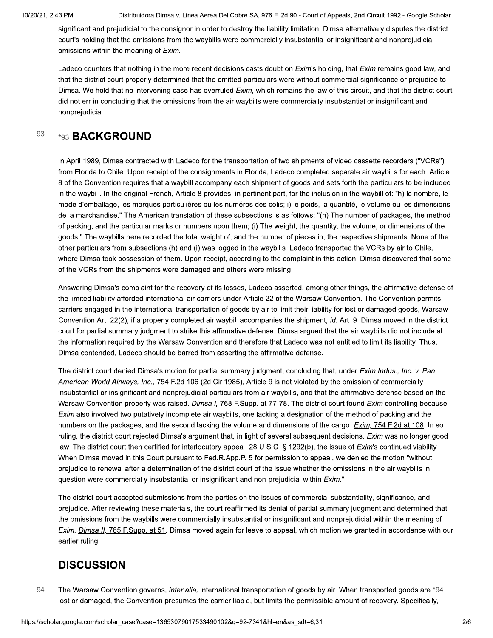Distribuidora Dimsa v. Linea Aerea Del Cobre SA, 976 F. 2d 90 - Court of Appeals, 2nd Circuit 1992 - Google Scholar

significant and prejudicial to the consignor in order to destroy the liability limitation. Dimsa alternatively disputes the district court's holding that the omissions from the waybills were commercially insubstantial or insignificant and nonprejudicial omissions within the meaning of Exim.

Ladeco counters that nothing in the more recent decisions casts doubt on Exim's holding, that Exim remains good law, and that the district court properly determined that the omitted particulars were without commercial significance or prejudice to Dimsa. We hold that no intervening case has overruled Exim, which remains the law of this circuit, and that the district court did not err in concluding that the omissions from the air waybills were commercially insubstantial or insignificant and nonprejudicial.

#### 93 \*93 BACKGROUND

In April 1989, Dimsa contracted with Ladeco for the transportation of two shipments of video cassette recorders ("VCRs") from Florida to Chile. Upon receipt of the consignments in Florida, Ladeco completed separate air waybills for each. Article 8 of the Convention requires that a waybill accompany each shipment of goods and sets forth the particulars to be included in the waybill. In the original French, Article 8 provides, in pertinent part, for the inclusion in the waybill of: "h) le nombre, le mode d'emballage, les marques particulières ou les numéros des colis; i) le poids, la quantité, le volume ou les dimensions de la marchandise." The American translation of these subsections is as follows: "(h) The number of packages, the method of packing, and the particular marks or numbers upon them; (i) The weight, the quantity, the volume, or dimensions of the goods." The waybills here recorded the total weight of, and the number of pieces in, the respective shipments. None of the other particulars from subsections (h) and (i) was logged in the waybills. Ladeco transported the VCRs by air to Chile, where Dimsa took possession of them. Upon receipt, according to the complaint in this action, Dimsa discovered that some of the VCRs from the shipments were damaged and others were missing.

Answering Dimsa's complaint for the recovery of its losses, Ladeco asserted, among other things, the affirmative defense of the limited liability afforded international air carriers under Article 22 of the Warsaw Convention. The Convention permits carriers engaged in the international transportation of goods by air to limit their liability for lost or damaged goods, Warsaw Convention Art. 22(2), if a properly completed air waybill accompanies the shipment, id. Art. 9. Dimsa moved in the district court for partial summary judgment to strike this affirmative defense. Dimsa argued that the air waybills did not include all the information required by the Warsaw Convention and therefore that Ladeco was not entitled to limit its liability. Thus, Dimsa contended, Ladeco should be barred from asserting the affirmative defense.

The district court denied Dimsa's motion for partial summary judgment, concluding that, under *Exim Indus., Inc. v. Pan* American World Airways, Inc., 754 F.2d 106 (2d Cir.1985), Article 9 is not violated by the omission of commercially insubstantial or insignificant and nonprejudicial particulars from air waybills, and that the affirmative defense based on the Warsaw Convention properly was raised. *Dimsa I, 768 F.Supp. at 77-78*. The district court found Exim controlling because Exim also involved two putatively incomplete air waybills, one lacking a designation of the method of packing and the numbers on the packages, and the second lacking the volume and dimensions of the cargo. Exim, 754 F.2d at 108. In so ruling, the district court rejected Dimsa's argument that, in light of several subsequent decisions, *Exim* was no longer good law. The district court then certified for interlocutory appeal, 28 U.S.C. § 1292(b), the issue of Exim's continued viability. When Dimsa moved in this Court pursuant to Fed.R.App.P. 5 for permission to appeal, we denied the motion "without prejudice to renewal after a determination of the district court of the issue whether the omissions in the air waybills in question were commercially insubstantial or insignificant and non-prejudicial within Exim."

The district court accepted submissions from the parties on the issues of commercial substantiality, significance, and prejudice. After reviewing these materials, the court reaffirmed its denial of partial summary judgment and determined that the omissions from the waybills were commercially insubstantial or insignificant and nonprejudicial within the meaning of Exim. Dimsa II, 785 F.Supp. at 51. Dimsa moved again for leave to appeal, which motion we granted in accordance with our earlier ruling.

## **DISCUSSION**

94 The Warsaw Convention governs, inter alia, international transportation of goods by air. When transported goods are \*94 lost or damaged, the Convention presumes the carrier liable, but limits the permissible amount of recovery. Specifically,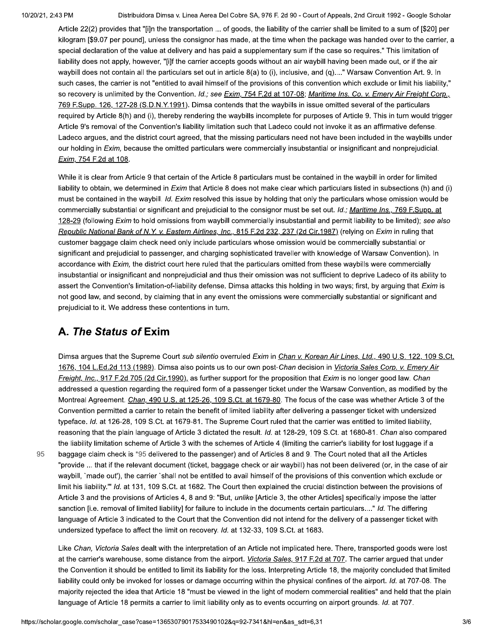95

Distribuidora Dimsa v. Linea Aerea Del Cobre SA, 976 F. 2d 90 - Court of Appeals, 2nd Circuit 1992 - Google Scholar

Article 22(2) provides that "[i]n the transportation ... of goods, the liability of the carrier shall be limited to a sum of [\$20] per kilogram [\$9.07 per pound], unless the consignor has made, at the time when the package was handed over to the carrier, a special declaration of the value at delivery and has paid a supplementary sum if the case so requires." This limitation of liability does not apply, however, "[i]f the carrier accepts goods without an air waybill having been made out, or if the air waybill does not contain all the particulars set out in article 8(a) to (i), inclusive, and (g)...." Warsaw Convention Art. 9. In such cases, the carrier is not "entitled to avail himself of the provisions of this convention which exclude or limit his liability." so recovery is unlimited by the Convention. Id.; see Exim, 754 F.2d at 107-08; Maritime Ins. Co. v. Emery Air Freight Corp., 769 F.Supp. 126, 127-28 (S.D.N.Y.1991). Dimsa contends that the waybills in issue omitted several of the particulars required by Article 8(h) and (i), thereby rendering the waybills incomplete for purposes of Article 9. This in turn would trigger Article 9's removal of the Convention's liability limitation such that Ladeco could not invoke it as an affirmative defense. Ladeco argues, and the district court agreed, that the missing particulars need not have been included in the waybills under our holding in Exim, because the omitted particulars were commercially insubstantial or insignificant and nonprejudicial. Exim, 754 F.2d at 108.

While it is clear from Article 9 that certain of the Article 8 particulars must be contained in the waybill in order for limited liability to obtain, we determined in Exim that Article 8 does not make clear which particulars listed in subsections (h) and (i) must be contained in the waybill. Id. Exim resolved this issue by holding that only the particulars whose omission would be commercially substantial or significant and prejudicial to the consignor must be set out. Id.; Maritime Ins., 769 F.Supp. at 128-29 (following Exim to hold omissions from waybill commercially insubstantial and permit liability to be limited); see also Republic National Bank of N.Y. v. Eastern Airlines, Inc., 815 F.2d 232, 237 (2d Cir.1987) (relying on Exim in ruling that customer baggage claim check need only include particulars whose omission would be commercially substantial or significant and prejudicial to passenger, and charging sophisticated traveller with knowledge of Warsaw Convention). In accordance with Exim, the district court here ruled that the particulars omitted from these waybills were commercially insubstantial or insignificant and nonprejudicial and thus their omission was not sufficient to deprive Ladeco of its ability to assert the Convention's limitation-of-liability defense. Dimsa attacks this holding in two ways; first, by arguing that Exim is not good law, and second, by claiming that in any event the omissions were commercially substantial or significant and prejudicial to it. We address these contentions in turn.

## A. The Status of Exim

Dimsa argues that the Supreme Court sub silentio overruled Exim in Chan v. Korean Air Lines, Ltd., 490 U.S. 122, 109 S.Ct. 1676, 104 L.Ed.2d 113 (1989). Dimsa also points us to our own post-Chan decision in Victoria Sales Corp. v. Emery Air Freight, Inc., 917 F.2d 705 (2d Cir.1990), as further support for the proposition that Exim is no longer good law. Chan addressed a question regarding the required form of a passenger ticket under the Warsaw Convention, as modified by the Montreal Agreement. Chan, 490 U.S. at 125-26, 109 S.Ct. at 1679-80. The focus of the case was whether Article 3 of the Convention permitted a carrier to retain the benefit of limited liability after delivering a passenger ticket with undersized typeface. Id. at 126-28, 109 S.Ct. at 1679-81. The Supreme Court ruled that the carrier was entitled to limited liability, reasoning that the plain language of Article 3 dictated the result. Id. at 128-29, 109 S.Ct. at 1680-81. Chan also compared the liability limitation scheme of Article 3 with the schemes of Article 4 (limiting the carrier's liability for lost luggage if a baggage claim check is \*95 delivered to the passenger) and of Articles 8 and 9. The Court noted that all the Articles "provide ... that if the relevant document (ticket, baggage check or air waybill) has not been delivered (or, in the case of air waybill, 'made out'), the carrier 'shall not be entitled to avail himself of the provisions of this convention which exclude or limit his liability."" Id. at 131, 109 S.Ct. at 1682. The Court then explained the crucial distinction between the provisions of Article 3 and the provisions of Articles 4, 8 and 9: "But, *unlike* [Article 3, the other Articles] specifically impose the latter sanction [i.e. removal of limited liability] for failure to include in the documents certain particulars...." Id. The differing language of Article 3 indicated to the Court that the Convention did not intend for the delivery of a passenger ticket with undersized typeface to affect the limit on recovery. Id. at 132-33, 109 S.Ct. at 1683.

Like Chan, Victoria Sales dealt with the interpretation of an Article not implicated here. There, transported goods were lost at the carrier's warehouse, some distance from the airport. Victoria Sales, 917 F.2d at 707. The carrier argued that under the Convention it should be entitled to limit its liability for the loss. Interpreting Article 18, the majority concluded that limited liability could only be invoked for losses or damage occurring within the physical confines of the airport. Id. at 707-08. The majority rejected the idea that Article 18 "must be viewed in the light of modern commercial realities" and held that the plain language of Article 18 permits a carrier to limit liability only as to events occurring on airport grounds. Id. at 707.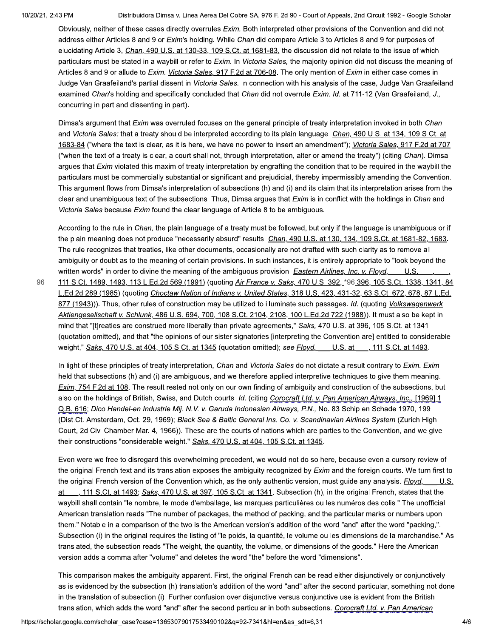10/20/21, 2.43 PM

Distribuidora Dimsa v. Linea Aerea Del Cobre SA, 976 F. 2d 90 - Court of Appeals, 2nd Circuit 1992 - Google Scholar

Obviously, neither of these cases directly overrules Exim. Both interpreted other provisions of the Convention and did not address either Articles 8 and 9 or Exim's holding. While Chan did compare Article 3 to Articles 8 and 9 for purposes of elucidating Article 3, Chan, 490 U.S. at 130-33, 109 S.Ct. at 1681-83, the discussion did not relate to the issue of which particulars must be stated in a waybill or refer to Exim. In Victoria Sales, the majority opinion did not discuss the meaning of Articles 8 and 9 or allude to Exim. Victoria Sales, 917 F.2d at 706-08. The only mention of Exim in either case comes in Judge Van Graafeiland's partial dissent in Victoria Sales. In connection with his analysis of the case, Judge Van Graafeiland examined Chan's holding and specifically concluded that Chan did not overrule Exim. Id. at 711-12 (Van Graafeiland, J., concurring in part and dissenting in part).

Dimsa's argument that Exim was overruled focuses on the general principle of treaty interpretation invoked in both Chan and Victoria Sales: that a treaty should be interpreted according to its plain language. Chan, 490 U.S. at 134, 109 S.Ct. at 1683-84 ("where the text is clear, as it is here, we have no power to insert an amendment"); Victoria Sales, 917 F.2d at 707 ("when the text of a treaty is clear, a court shall not, through interpretation, alter or amend the treaty") (citing Chan). Dimsa arques that *Exim* violated this maxim of treaty interpretation by engrafting the condition that to be required in the waybill the particulars must be commercially substantial or significant and prejudicial, thereby impermissibly amending the Convention. This argument flows from Dimsa's interpretation of subsections (h) and (i) and its claim that its interpretation arises from the clear and unambiguous text of the subsections. Thus, Dimsa argues that Exim is in conflict with the holdings in Chan and Victoria Sales because Exim found the clear language of Article 8 to be ambiguous.

According to the rule in Chan, the plain language of a treaty must be followed, but only if the language is unambiguous or if the plain meaning does not produce "necessarily absurd" results. Chan, 490 U.S. at 130, 134, 109 S.Ct. at 1681-82, 1683. The rule recognizes that treaties, like other documents, occasionally are not drafted with such clarity as to remove all ambiguity or doubt as to the meaning of certain provisions. In such instances, it is entirely appropriate to "look beyond the written words" in order to divine the meaning of the ambiguous provision. Eastern Airlines, Inc. v. Floyd, U.S.

111 S.Ct. 1489, 1493, 113 L.Ed.2d 569 (1991) (quoting Air France v. Saks, 470 U.S. 392, \*96 396, 105 S.Ct. 1338, 1341, 84 L.Ed.2d 289 (1985) (quoting Choctaw Nation of Indians v. United States, 318 U.S. 423, 431-32, 63 S.Ct. 672, 678, 87 L.Ed. 877 (1943))). Thus, other rules of construction may be utilized to illuminate such passages. Id. (quoting Volkswagenwerk Aktiengesellschaft v. Schlunk, 486 U.S. 694, 700, 108 S.Ct. 2104, 2108, 100 L.Ed.2d 722 (1988)). It must also be kept in mind that "[t]reaties are construed more liberally than private agreements," Saks, 470 U.S. at 396, 105 S.Ct. at 1341 (quotation omitted), and that "the opinions of our sister signatories [interpreting the Convention are] entitled to considerable weight," Saks, 470 U.S. at 404, 105 S.Ct. at 1345 (quotation omitted); see Floyd, U.S. at , 111 S.Ct. at 1493.

In light of these principles of treaty interpretation, Chan and Victoria Sales do not dictate a result contrary to Exim. Exim held that subsections (h) and (i) are ambiguous, and we therefore applied interpretive techniques to give them meaning. Exim. 754 F.2d at 108. The result rested not only on our own finding of ambiguity and construction of the subsections, but also on the holdings of British, Swiss, and Dutch courts. Id. (citing Corocraft Ltd. v. Pan American Airways, Inc., [1969] 1 Q.B. 616; Dico Handel-en Industrie Mij. N.V. v. Garuda Indonesian Airways, P.N., No. 83 Schip en Schade 1970, 199 (Dist.Ct. Amsterdam, Oct. 29, 1969); Black Sea & Baltic General Ins. Co. v. Scandinavian Airlines System (Zurich High Court, 2d Civ. Chamber Mar. 4, 1966)). These are the courts of nations which are parties to the Convention, and we give their constructions "considerable weight." Saks, 470 U.S. at 404, 105 S.Ct. at 1345.

Even were we free to disregard this overwhelming precedent, we would not do so here, because even a cursory review of the original French text and its translation exposes the ambiguity recognized by Exim and the foreign courts. We turn first to the original French version of the Convention which, as the only authentic version, must guide any analysis. *Floyd*, U.S. 111 S.Ct. at 1493; Saks, 470 U.S. at 397, 105 S.Ct. at 1341. Subsection (h), in the original French, states that the waybill shall contain "le nombre, le mode d'emballage, les marques particulières ou les numéros des colis." The unofficial American translation reads "The number of packages, the method of packing, and the particular marks or numbers upon them." Notable in a comparison of the two is the American version's addition of the word "and" after the word "packing,". Subsection (i) in the original requires the listing of "le poids, la quantité, le volume ou les dimensions de la marchandise." As translated, the subsection reads "The weight, the quantity, the volume, or dimensions of the goods." Here the American version adds a comma after "volume" and deletes the word "the" before the word "dimensions".

This comparison makes the ambiguity apparent. First, the original French can be read either disjunctively or conjunctively as is evidenced by the subsection (h) translation's addition of the word "and" after the second particular, something not done in the translation of subsection (i). Further confusion over disjunctive versus conjunctive use is evident from the British translation, which adds the word "and" after the second particular in both subsections. Corocraft Ltd. v. Pan American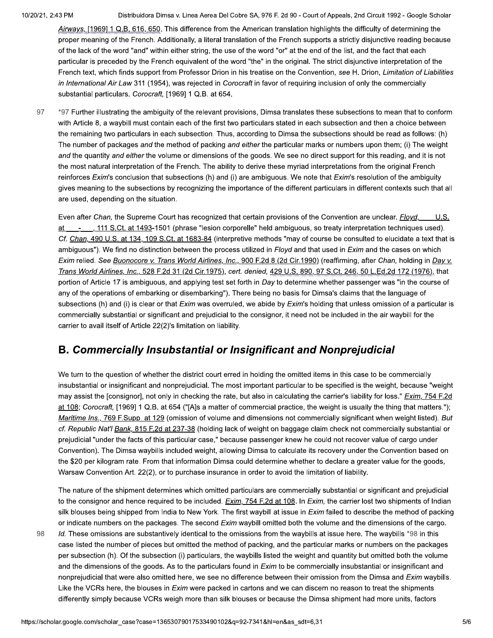98

Distribuidora Dimsa v. Linea Aerea Del Cobre SA, 976 F. 2d 90 - Court of Appeals, 2nd Circuit 1992 - Google Scholar

Airways, [1969] 1 Q.B. 616, 650. This difference from the American translation highlights the difficulty of determining the proper meaning of the French. Additionally, a literal translation of the French supports a strictly disjunctive reading because of the lack of the word "and" within either string, the use of the word "or" at the end of the list, and the fact that each particular is preceded by the French equivalent of the word "the" in the original. The strict disjunctive interpretation of the French text, which finds support from Professor Drion in his treatise on the Convention, see H. Drion, Limitation of Liabilities in International Air Law 311 (1954), was rejected in Corocraft in favor of requiring inclusion of only the commercially substantial particulars. Corocraft, [1969] 1 Q.B. at 654.

97 \*97 Further illustrating the ambiguity of the relevant provisions. Dimsa translates these subsections to mean that to conform with Article 8, a waybill must contain each of the first two particulars stated in each subsection and then a choice between the remaining two particulars in each subsection. Thus, according to Dimsa the subsections should be read as follows: (h) The number of packages and the method of packing and either the particular marks or numbers upon them; (i) The weight and the quantity and either the volume or dimensions of the goods. We see no direct support for this reading, and it is not the most natural interpretation of the French. The ability to derive these myriad interpretations from the original French reinforces Exim's conclusion that subsections (h) and (i) are ambiguous. We note that Exim's resolution of the ambiguity gives meaning to the subsections by recognizing the importance of the different particulars in different contexts such that all are used, depending on the situation.

Even after Chan, the Supreme Court has recognized that certain provisions of the Convention are unclear. Floyd, - 111 S.Ct. at 1493-1501 (phrase "lesion corporelle" held ambiguous, so treaty interpretation techniques used). Cf. Chan, 490 U.S. at 134, 109 S.Ct. at 1683-84 (interpretive methods "may of course be consulted to elucidate a text that is ambiguous"). We find no distinction between the process utilized in Floyd and that used in Exim and the cases on which Exim relied. See Buonocore v. Trans World Airlines, Inc., 900 F.2d 8 (2d Cir.1990) (reaffirming, after Chan, holding in Day v. Trans World Airlines, Inc., 528 F.2d 31 (2d Cir.1975), cert. denied, 429 U.S. 890, 97 S.Ct. 246, 50 L.Ed.2d 172 (1976), that portion of Article 17 is ambiguous, and applying test set forth in Day to determine whether passenger was "in the course of any of the operations of embarking or disembarking"). There being no basis for Dimsa's claims that the language of subsections (h) and (i) is clear or that Exim was overruled, we abide by Exim's holding that unless omission of a particular is commercially substantial or significant and prejudicial to the consignor, it need not be included in the air waybill for the carrier to avail itself of Article 22(2)'s limitation on liability.

## **B. Commercially Insubstantial or Insignificant and Nonprejudicial**

We turn to the question of whether the district court erred in holding the omitted items in this case to be commercially insubstantial or insignificant and nonprejudicial. The most important particular to be specified is the weight, because "weight may assist the [consignor], not only in checking the rate, but also in calculating the carrier's liability for loss." Exim, 754 F.2d at 108; Corocraft, [1969] 1 Q.B. at 654 ("[A]s a matter of commercial practice, the weight is usually the thing that matters."); Maritime Ins., 769 F.Supp. at 129 (omission of volume and dimensions not commercially significant when weight listed). But cf. Republic Nat'l Bank, 815 F.2d at 237-38 (holding lack of weight on baggage claim check not commercially substantial or prejudicial "under the facts of this particular case," because passenger knew he could not recover value of cargo under Convention). The Dimsa waybills included weight, allowing Dimsa to calculate its recovery under the Convention based on the \$20 per kilogram rate. From that information Dimsa could determine whether to declare a greater value for the goods, Warsaw Convention Art. 22(2), or to purchase insurance in order to avoid the limitation of liability.

The nature of the shipment determines which omitted particulars are commercially substantial or significant and prejudicial to the consignor and hence required to be included. Exim, 754 F.2d at 108. In Exim, the carrier lost two shipments of Indian silk blouses being shipped from India to New York. The first waybill at issue in Exim failed to describe the method of packing or indicate numbers on the packages. The second Exim waybill omitted both the volume and the dimensions of the cargo.

Id. These omissions are substantively identical to the omissions from the waybills at issue here. The waybills \*98 in this case listed the number of pieces but omitted the method of packing, and the particular marks or numbers on the packages per subsection (h). Of the subsection (i) particulars, the waybills listed the weight and quantity but omitted both the volume and the dimensions of the goods. As to the particulars found in Exim to be commercially insubstantial or insignificant and nonprejudicial that were also omitted here, we see no difference between their omission from the Dimsa and Exim waybills. Like the VCRs here, the blouses in *Exim* were packed in cartons and we can discern no reason to treat the shipments differently simply because VCRs weigh more than silk blouses or because the Dimsa shipment had more units, factors